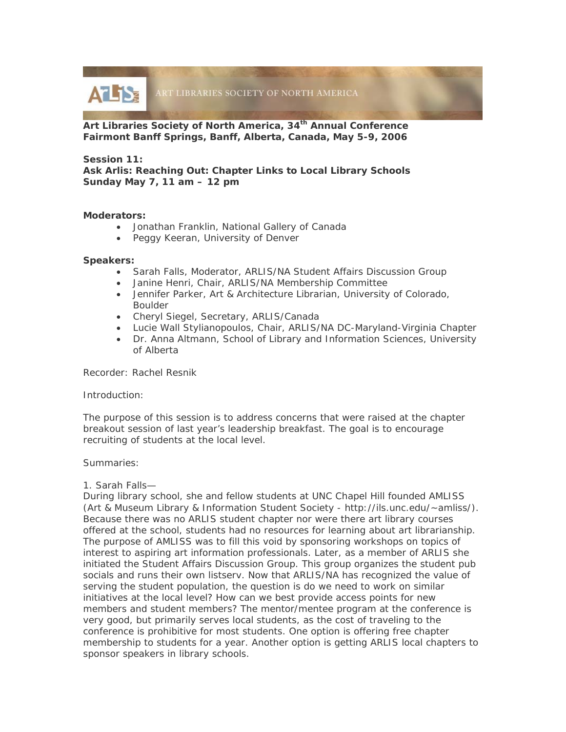

**Art Libraries Society of North America, 34th Annual Conference Fairmont Banff Springs, Banff, Alberta, Canada, May 5-9, 2006** 

# **Session 11:**

**Ask Arlis: Reaching Out: Chapter Links to Local Library Schools Sunday May 7, 11 am – 12 pm**

## **Moderators:**

- Jonathan Franklin, National Gallery of Canada
- Peggy Keeran, University of Denver

## **Speakers:**

- Sarah Falls, Moderator, ARLIS/NA Student Affairs Discussion Group
- Janine Henri, Chair, ARLIS/NA Membership Committee
- Jennifer Parker, Art & Architecture Librarian, University of Colorado, Boulder
- Cheryl Siegel, Secretary, ARLIS/Canada
- Lucie Wall Stylianopoulos, Chair, ARLIS/NA DC-Maryland-Virginia Chapter
- Dr. Anna Altmann, School of Library and Information Sciences, University of Alberta

Recorder: Rachel Resnik

## Introduction:

The purpose of this session is to address concerns that were raised at the chapter breakout session of last year's leadership breakfast. The goal is to encourage recruiting of students at the local level.

## Summaries:

## 1. Sarah Falls—

During library school, she and fellow students at UNC Chapel Hill founded AMLISS (Art & Museum Library & Information Student Society - http://ils.unc.edu/~amliss/). Because there was no ARLIS student chapter nor were there art library courses offered at the school, students had no resources for learning about art librarianship. The purpose of AMLISS was to fill this void by sponsoring workshops on topics of interest to aspiring art information professionals. Later, as a member of ARLIS she initiated the Student Affairs Discussion Group. This group organizes the student pub socials and runs their own listserv. Now that ARLIS/NA has recognized the value of serving the student population, the question is do we need to work on similar initiatives at the local level? How can we best provide access points for new members and student members? The mentor/mentee program at the conference is very good, but primarily serves local students, as the cost of traveling to the conference is prohibitive for most students. One option is offering free chapter membership to students for a year. Another option is getting ARLIS local chapters to sponsor speakers in library schools.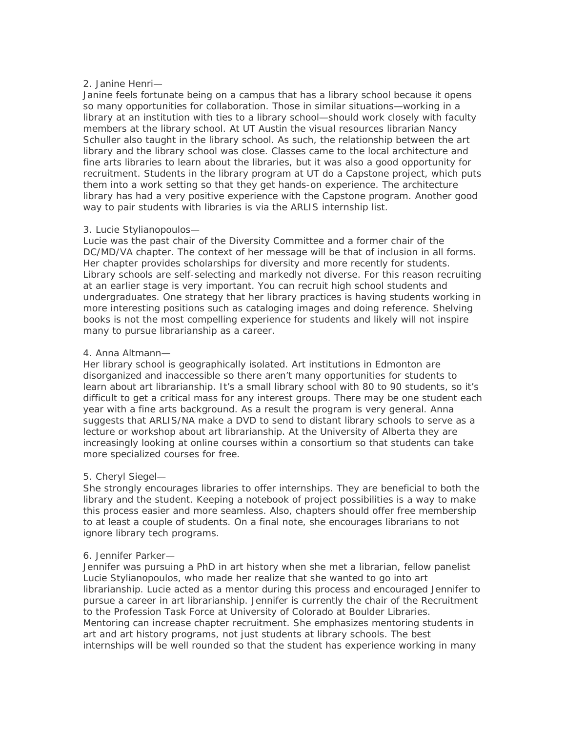## 2. Janine Henri—

Janine feels fortunate being on a campus that has a library school because it opens so many opportunities for collaboration. Those in similar situations—working in a library at an institution with ties to a library school—should work closely with faculty members at the library school. At UT Austin the visual resources librarian Nancy Schuller also taught in the library school. As such, the relationship between the art library and the library school was close. Classes came to the local architecture and fine arts libraries to learn about the libraries, but it was also a good opportunity for recruitment. Students in the library program at UT do a Capstone project, which puts them into a work setting so that they get hands-on experience. The architecture library has had a very positive experience with the Capstone program. Another good way to pair students with libraries is via the ARLIS internship list.

## 3. Lucie Stylianopoulos—

Lucie was the past chair of the Diversity Committee and a former chair of the DC/MD/VA chapter. The context of her message will be that of inclusion in all forms. Her chapter provides scholarships for diversity and more recently for students. Library schools are self-selecting and markedly not diverse. For this reason recruiting at an earlier stage is very important. You can recruit high school students and undergraduates. One strategy that her library practices is having students working in more interesting positions such as cataloging images and doing reference. Shelving books is not the most compelling experience for students and likely will not inspire many to pursue librarianship as a career.

## 4. Anna Altmann—

Her library school is geographically isolated. Art institutions in Edmonton are disorganized and inaccessible so there aren't many opportunities for students to learn about art librarianship. It's a small library school with 80 to 90 students, so it's difficult to get a critical mass for any interest groups. There may be one student each year with a fine arts background. As a result the program is very general. Anna suggests that ARLIS/NA make a DVD to send to distant library schools to serve as a lecture or workshop about art librarianship. At the University of Alberta they are increasingly looking at online courses within a consortium so that students can take more specialized courses for free.

## 5. Cheryl Siegel—

She strongly encourages libraries to offer internships. They are beneficial to both the library and the student. Keeping a notebook of project possibilities is a way to make this process easier and more seamless. Also, chapters should offer free membership to at least a couple of students. On a final note, she encourages librarians to not ignore library tech programs.

## 6. Jennifer Parker—

Jennifer was pursuing a PhD in art history when she met a librarian, fellow panelist Lucie Stylianopoulos, who made her realize that she wanted to go into art librarianship. Lucie acted as a mentor during this process and encouraged Jennifer to pursue a career in art librarianship. Jennifer is currently the chair of the Recruitment to the Profession Task Force at University of Colorado at Boulder Libraries. Mentoring can increase chapter recruitment. She emphasizes mentoring students in art and art history programs, not just students at library schools. The best internships will be well rounded so that the student has experience working in many